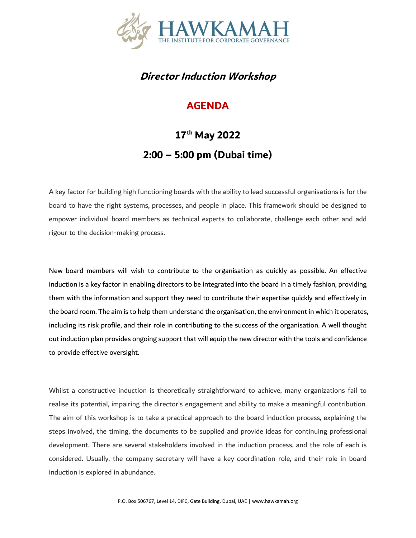

## **Director Induction Workshop**

## **AGENDA**

## **17th May 2022 2:00 – 5:00 pm (Dubai time)**

A key factor for building high functioning boards with the ability to lead successful organisations is for the board to have the right systems, processes, and people in place. This framework should be designed to empower individual board members as technical experts to collaborate, challenge each other and add rigour to the decision-making process.

New board members will wish to contribute to the organisation as quickly as possible. An effective induction is a key factor in enabling directors to be integrated into the board in a timely fashion, providing them with the information and support they need to contribute their expertise quickly and effectively in the board room. The aim is to help them understand the organisation, the environment in which it operates, including its risk profile, and their role in contributing to the success of the organisation. A well thought out induction plan provides ongoing support that will equip the new director with the tools and confidence to provide effective oversight.

Whilst a constructive induction is theoretically straightforward to achieve, many organizations fail to realise its potential, impairing the director's engagement and ability to make a meaningful contribution. The aim of this workshop is to take a practical approach to the board induction process, explaining the steps involved, the timing, the documents to be supplied and provide ideas for continuing professional development. There are several stakeholders involved in the induction process, and the role of each is considered. Usually, the company secretary will have a key coordination role, and their role in board induction is explored in abundance.